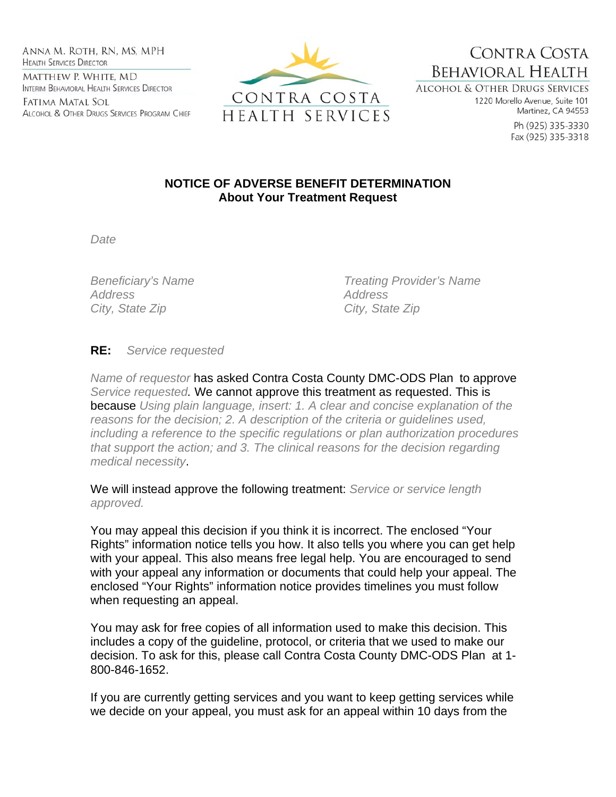Anna M. Roth, RN, MS, MPH **HEALTH SERVICES DIRECTOR** MATTHEW P. WHITE, MD INTERIM BEHAVIORAL HEALTH SERVICES DIRECTOR

Fatima Matal Sol ALCOHOL & OTHER DRUGS SERVICES PROGRAM CHIEF



CONTRA COSTA **BEHAVIORAL HEALTH** ALCOHOL & OTHER DRUGS SERVICES

1220 Morello Avenue, Suite 101 Martinez, CA 94553

> Ph (925) 335-3330 Fax (925) 335-3318

## **NOTICE OF ADVERSE BENEFIT DETERMINATION About Your Treatment Request**

*Date* 

*Address Address*  City, State Zip **City**, State Zip

*Beneficiary's Name Treating Provider's Name* 

**RE:** *Service requested*

*Name of requestor* has asked Contra Costa County DMC-ODS Plan to approve *Service requested.* We cannot approve this treatment as requested. This is because *Using plain language, insert: 1. A clear and concise explanation of the reasons for the decision; 2. A description of the criteria or guidelines used, including a reference to the specific regulations or plan authorization procedures that support the action; and 3. The clinical reasons for the decision regarding medical necessity*.

We will instead approve the following treatment: *Service or service length approved.*

You may appeal this decision if you think it is incorrect. The enclosed "Your Rights" information notice tells you how. It also tells you where you can get help with your appeal. This also means free legal help. You are encouraged to send with your appeal any information or documents that could help your appeal. The enclosed "Your Rights" information notice provides timelines you must follow when requesting an appeal.

You may ask for free copies of all information used to make this decision. This includes a copy of the guideline, protocol, or criteria that we used to make our decision. To ask for this, please call Contra Costa County DMC-ODS Plan at 1- 800-846-1652.

If you are currently getting services and you want to keep getting services while we decide on your appeal, you must ask for an appeal within 10 days from the